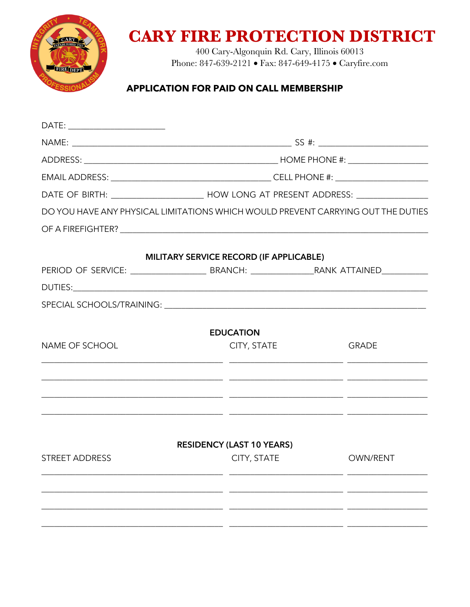

## **CARY FIRE PROTECTION DISTRICT**

400 Cary-Algonquin Rd. Cary, Illinois 60013 Phone: 847-639-2121 • Fax: 847-649-4175 • Caryfire.com

## **APPLICATION FOR PAID ON CALL MEMBERSHIP**

| DATE: __________________________ |                                                                                                      |                                                                                  |  |  |
|----------------------------------|------------------------------------------------------------------------------------------------------|----------------------------------------------------------------------------------|--|--|
|                                  |                                                                                                      |                                                                                  |  |  |
|                                  |                                                                                                      |                                                                                  |  |  |
|                                  |                                                                                                      |                                                                                  |  |  |
|                                  | DATE OF BIRTH: ____________________________ HOW LONG AT PRESENT ADDRESS: ___________________________ |                                                                                  |  |  |
|                                  |                                                                                                      | DO YOU HAVE ANY PHYSICAL LIMITATIONS WHICH WOULD PREVENT CARRYING OUT THE DUTIES |  |  |
|                                  |                                                                                                      |                                                                                  |  |  |
|                                  | MILITARY SERVICE RECORD (IF APPLICABLE)                                                              |                                                                                  |  |  |
|                                  |                                                                                                      |                                                                                  |  |  |
|                                  |                                                                                                      |                                                                                  |  |  |
|                                  |                                                                                                      |                                                                                  |  |  |
|                                  | <b>EDUCATION</b>                                                                                     |                                                                                  |  |  |
| NAME OF SCHOOL                   | CITY, STATE                                                                                          | <b>GRADE</b>                                                                     |  |  |
|                                  |                                                                                                      |                                                                                  |  |  |
|                                  |                                                                                                      |                                                                                  |  |  |
|                                  | <b>RESIDENCY (LAST 10 YEARS)</b>                                                                     |                                                                                  |  |  |
| <b>STREET ADDRESS</b>            | <b>CITY, STATE</b>                                                                                   | OWN/RENT                                                                         |  |  |
|                                  |                                                                                                      |                                                                                  |  |  |
|                                  |                                                                                                      |                                                                                  |  |  |